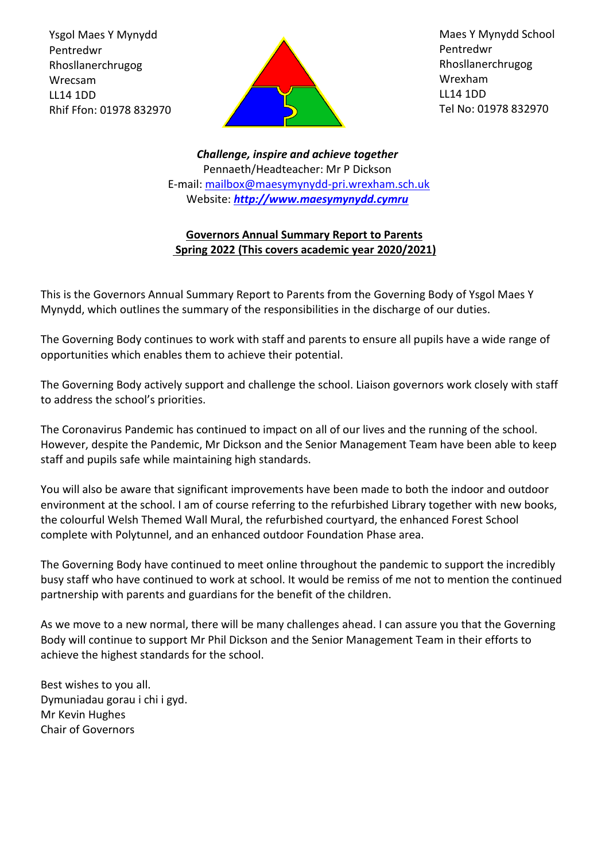Ysgol Maes Y Mynydd Pentredwr Rhosllanerchrugog Wrecsam LL14 1DD Rhif Ffon: 01978 832970



Maes Y Mynydd School Pentredwr Rhosllanerchrugog Wrexham LL14 1DD Tel No: 01978 832970

*Challenge, inspire and achieve together* Pennaeth/Headteacher: Mr P Dickson E-mail: [mailbox@maesymynydd-pri.wrexham.sch.uk](mailto:mailbox@maesymynydd-pri.wrexham.sch.uk) Website: *[http://www.maesymynydd.cymru](http://www.maesymynydd.cymru/)*

# **Governors Annual Summary Report to Parents Spring 2022 (This covers academic year 2020/2021)**

This is the Governors Annual Summary Report to Parents from the Governing Body of Ysgol Maes Y Mynydd, which outlines the summary of the responsibilities in the discharge of our duties.

The Governing Body continues to work with staff and parents to ensure all pupils have a wide range of opportunities which enables them to achieve their potential.

The Governing Body actively support and challenge the school. Liaison governors work closely with staff to address the school's priorities.

The Coronavirus Pandemic has continued to impact on all of our lives and the running of the school. However, despite the Pandemic, Mr Dickson and the Senior Management Team have been able to keep staff and pupils safe while maintaining high standards.

You will also be aware that significant improvements have been made to both the indoor and outdoor environment at the school. I am of course referring to the refurbished Library together with new books, the colourful Welsh Themed Wall Mural, the refurbished courtyard, the enhanced Forest School complete with Polytunnel, and an enhanced outdoor Foundation Phase area.

The Governing Body have continued to meet online throughout the pandemic to support the incredibly busy staff who have continued to work at school. It would be remiss of me not to mention the continued partnership with parents and guardians for the benefit of the children.

As we move to a new normal, there will be many challenges ahead. I can assure you that the Governing Body will continue to support Mr Phil Dickson and the Senior Management Team in their efforts to achieve the highest standards for the school.

Best wishes to you all. Dymuniadau gorau i chi i gyd. Mr Kevin Hughes Chair of Governors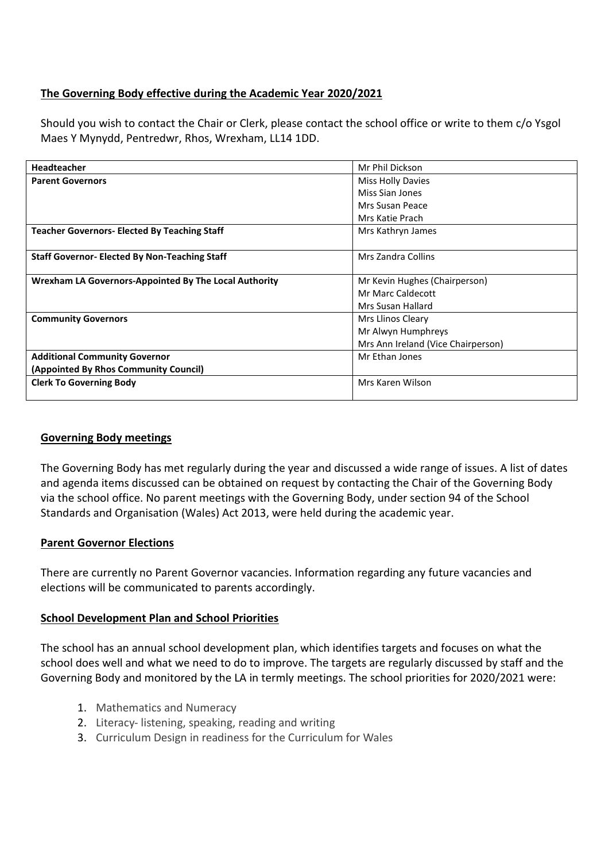# **The Governing Body effective during the Academic Year 2020/2021**

Should you wish to contact the Chair or Clerk, please contact the school office or write to them c/o Ysgol Maes Y Mynydd, Pentredwr, Rhos, Wrexham, LL14 1DD.

| <b>Headteacher</b>                                    | Mr Phil Dickson                    |  |
|-------------------------------------------------------|------------------------------------|--|
| <b>Parent Governors</b>                               | <b>Miss Holly Davies</b>           |  |
|                                                       | Miss Sian Jones                    |  |
|                                                       | Mrs Susan Peace                    |  |
|                                                       | Mrs Katie Prach                    |  |
| <b>Teacher Governors- Elected By Teaching Staff</b>   | Mrs Kathryn James                  |  |
|                                                       |                                    |  |
| <b>Staff Governor- Elected By Non-Teaching Staff</b>  | Mrs Zandra Collins                 |  |
|                                                       |                                    |  |
| Wrexham LA Governors-Appointed By The Local Authority | Mr Kevin Hughes (Chairperson)      |  |
|                                                       | Mr Marc Caldecott                  |  |
|                                                       | Mrs Susan Hallard                  |  |
| <b>Community Governors</b>                            | Mrs Llinos Cleary                  |  |
|                                                       | Mr Alwyn Humphreys                 |  |
|                                                       | Mrs Ann Ireland (Vice Chairperson) |  |
| <b>Additional Community Governor</b>                  | Mr Ethan Jones                     |  |
| (Appointed By Rhos Community Council)                 |                                    |  |
| <b>Clerk To Governing Body</b>                        | Mrs Karen Wilson                   |  |
|                                                       |                                    |  |

## **Governing Body meetings**

The Governing Body has met regularly during the year and discussed a wide range of issues. A list of dates and agenda items discussed can be obtained on request by contacting the Chair of the Governing Body via the school office. No parent meetings with the Governing Body, under section 94 of the School Standards and Organisation (Wales) Act 2013, were held during the academic year.

## **Parent Governor Elections**

There are currently no Parent Governor vacancies. Information regarding any future vacancies and elections will be communicated to parents accordingly.

## **School Development Plan and School Priorities**

The school has an annual school development plan, which identifies targets and focuses on what the school does well and what we need to do to improve. The targets are regularly discussed by staff and the Governing Body and monitored by the LA in termly meetings. The school priorities for 2020/2021 were:

- 1. Mathematics and Numeracy
- 2. Literacy- listening, speaking, reading and writing
- 3. Curriculum Design in readiness for the Curriculum for Wales